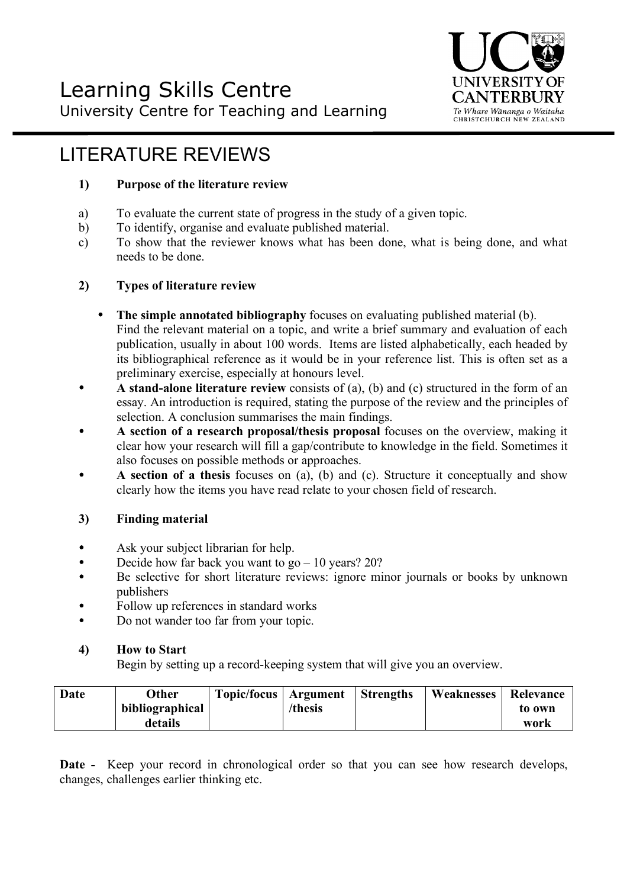

# LITERATURE REVIEWS

# **1) Purpose of the literature review**

- a) To evaluate the current state of progress in the study of a given topic.
- b) To identify, organise and evaluate published material.
- c) To show that the reviewer knows what has been done, what is being done, and what needs to be done.

## **2) Types of literature review**

- **The simple annotated bibliography** focuses on evaluating published material (b). Find the relevant material on a topic, and write a brief summary and evaluation of each publication, usually in about 100 words. Items are listed alphabetically, each headed by its bibliographical reference as it would be in your reference list. This is often set as a preliminary exercise, especially at honours level.
- **A stand-alone literature review** consists of (a), (b) and (c) structured in the form of an essay. An introduction is required, stating the purpose of the review and the principles of selection. A conclusion summarises the main findings.
- **A section of a research proposal/thesis proposal** focuses on the overview, making it clear how your research will fill a gap/contribute to knowledge in the field. Sometimes it also focuses on possible methods or approaches.
- **A section of a thesis** focuses on (a), (b) and (c). Structure it conceptually and show clearly how the items you have read relate to your chosen field of research.

## **3) Finding material**

- Ask your subject librarian for help.
- Decide how far back you want to  $g_0 10$  years? 20?
- Be selective for short literature reviews: ignore minor journals or books by unknown publishers
- Follow up references in standard works
- Do not wander too far from your topic.

## **4) How to Start**

Begin by setting up a record-keeping system that will give you an overview.

| Date | Other           | Topic/focus   Argument |         | <b>Strengths</b> | Weaknesses | Relevance |
|------|-----------------|------------------------|---------|------------------|------------|-----------|
|      | bibliographical |                        | /thesis |                  |            | to own    |
|      | details         |                        |         |                  |            | work      |

**Date -** Keep your record in chronological order so that you can see how research develops, changes, challenges earlier thinking etc.